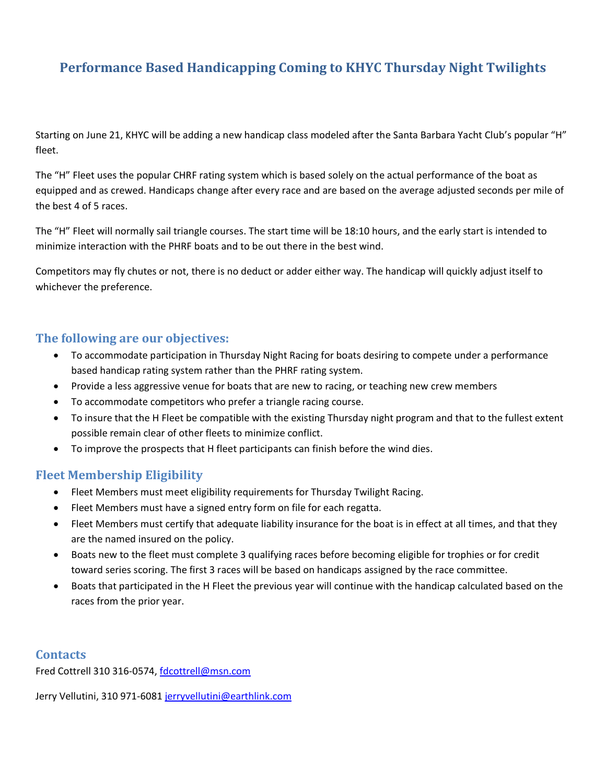# **Performance Based Handicapping Coming to KHYC Thursday Night Twilights**

Starting on June 21, KHYC will be adding a new handicap class modeled after the Santa Barbara Yacht Club's popular "H" fleet.

The "H" Fleet uses the popular CHRF rating system which is based solely on the actual performance of the boat as equipped and as crewed. Handicaps change after every race and are based on the average adjusted seconds per mile of the best 4 of 5 races.

The "H" Fleet will normally sail triangle courses. The start time will be 18:10 hours, and the early start is intended to minimize interaction with the PHRF boats and to be out there in the best wind.

Competitors may fly chutes or not, there is no deduct or adder either way. The handicap will quickly adjust itself to whichever the preference.

### **The following are our objectives:**

- To accommodate participation in Thursday Night Racing for boats desiring to compete under a performance based handicap rating system rather than the PHRF rating system.
- Provide a less aggressive venue for boats that are new to racing, or teaching new crew members
- To accommodate competitors who prefer a triangle racing course.
- To insure that the H Fleet be compatible with the existing Thursday night program and that to the fullest extent possible remain clear of other fleets to minimize conflict.
- To improve the prospects that H fleet participants can finish before the wind dies.

### **Fleet Membership Eligibility**

- Fleet Members must meet eligibility requirements for Thursday Twilight Racing.
- Fleet Members must have a signed entry form on file for each regatta.
- Fleet Members must certify that adequate liability insurance for the boat is in effect at all times, and that they are the named insured on the policy.
- Boats new to the fleet must complete 3 qualifying races before becoming eligible for trophies or for credit toward series scoring. The first 3 races will be based on handicaps assigned by the race committee.
- Boats that participated in the H Fleet the previous year will continue with the handicap calculated based on the races from the prior year.

### **Contacts**

Fred Cottrell 310 316-0574, [fdcottrell@msn.com](mailto:fdcottrell@msn.com)

Jerry Vellutini, 310 971-6081 [jerryvellutini@earthlink.com](mailto:jerryvellutini@earthlink.com)